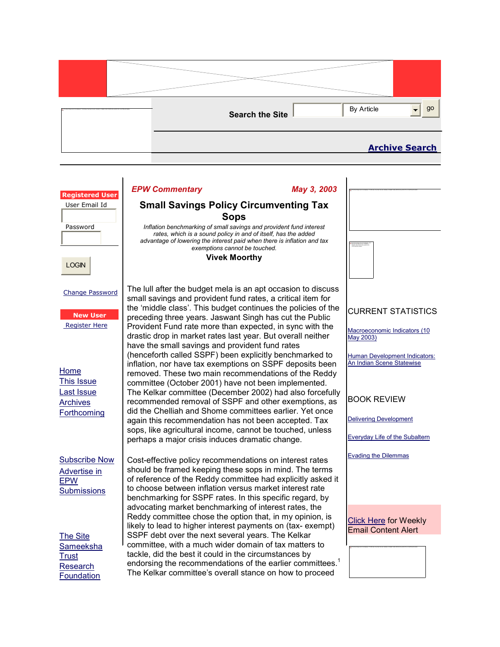

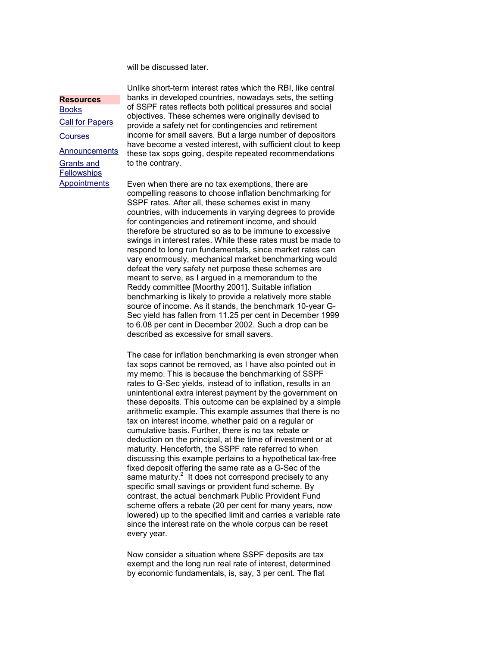will be discussed later.

## **Resources**

Books Call for Papers **Courses** Announcements Grants and **Fellowships Appointments** 

Unlike short-term interest rates which the RBI, like central banks in developed countries, nowadays sets, the setting of SSPF rates reflects both political pressures and social objectives. These schemes were originally devised to provide a safety net for contingencies and retirement income for small savers. But a large number of depositors have become a vested interest, with sufficient clout to keep these tax sops going, despite repeated recommendations to the contrary.

Even when there are no tax exemptions, there are compelling reasons to choose inflation benchmarking for SSPF rates. After all, these schemes exist in many countries, with inducements in varying degrees to provide for contingencies and retirement income, and should therefore be structured so as to be immune to excessive swings in interest rates. While these rates must be made to respond to long run fundamentals, since market rates can vary enormously, mechanical market benchmarking would defeat the very safety net purpose these schemes are meant to serve, as I argued in a memorandum to the Reddy committee [Moorthy 2001]. Suitable inflation benchmarking is likely to provide a relatively more stable source of income. As it stands, the benchmark 10-year G-Sec yield has fallen from 11.25 per cent in December 1999 to 6.08 per cent in December 2002. Such a drop can be described as excessive for small savers.

The case for inflation benchmarking is even stronger when tax sops cannot be removed, as I have also pointed out in my memo. This is because the benchmarking of SSPF rates to G-Sec yields, instead of to inflation, results in an unintentional extra interest payment by the government on these deposits. This outcome can be explained by a simple arithmetic example. This example assumes that there is no tax on interest income, whether paid on a regular or cumulative basis. Further, there is no tax rebate or deduction on the principal, at the time of investment or at maturity. Henceforth, the SSPF rate referred to when discussing this example pertains to a hypothetical tax-free fixed deposit offering the same rate as a G-Sec of the same maturity. $2$  It does not correspond precisely to any specific small savings or provident fund scheme. By contrast, the actual benchmark Public Provident Fund scheme offers a rebate (20 per cent for many years, now lowered) up to the specified limit and carries a variable rate since the interest rate on the whole corpus can be reset every year.

Now consider a situation where SSPF deposits are tax exempt and the long run real rate of interest, determined by economic fundamentals, is, say, 3 per cent. The flat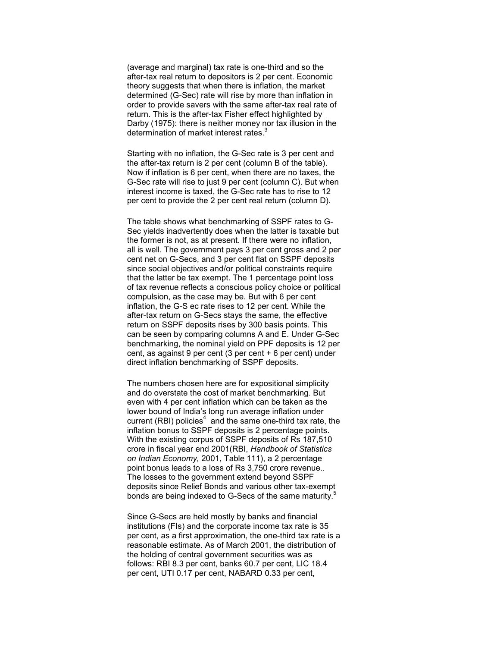(average and marginal) tax rate is one-third and so the after-tax real return to depositors is 2 per cent. Economic theory suggests that when there is inflation, the market determined (G-Sec) rate will rise by more than inflation in order to provide savers with the same after-tax real rate of return. This is the after-tax Fisher effect highlighted by Darby (1975): there is neither money nor tax illusion in the determination of market interest rates.<sup>3</sup>

Starting with no inflation, the G-Sec rate is 3 per cent and the after-tax return is 2 per cent (column B of the table). Now if inflation is 6 per cent, when there are no taxes, the G-Sec rate will rise to just 9 per cent (column C). But when interest income is taxed, the G-Sec rate has to rise to 12 per cent to provide the 2 per cent real return (column D).

The table shows what benchmarking of SSPF rates to G-Sec yields inadvertently does when the latter is taxable but the former is not, as at present. If there were no inflation, all is well. The government pays 3 per cent gross and 2 per cent net on G-Secs, and 3 per cent flat on SSPF deposits since social objectives and/or political constraints require that the latter be tax exempt. The 1 percentage point loss of tax revenue reflects a conscious policy choice or political compulsion, as the case may be. But with 6 per cent inflation, the G-S ec rate rises to 12 per cent. While the after-tax return on G-Secs stays the same, the effective return on SSPF deposits rises by 300 basis points. This can be seen by comparing columns A and E. Under G-Sec benchmarking, the nominal yield on PPF deposits is 12 per cent, as against 9 per cent (3 per cent + 6 per cent) under direct inflation benchmarking of SSPF deposits.

The numbers chosen here are for expositional simplicity and do overstate the cost of market benchmarking. But even with 4 per cent inflation which can be taken as the lower bound of India's long run average inflation under current (RBI) policies<sup>4</sup> and the same one-third tax rate, the inflation bonus to SSPF deposits is 2 percentage points. With the existing corpus of SSPF deposits of Rs 187,510 crore in fiscal year end 2001(RBI, Handbook of Statistics on Indian Economy, 2001, Table 111), a 2 percentage point bonus leads to a loss of Rs 3,750 crore revenue.. The losses to the government extend beyond SSPF deposits since Relief Bonds and various other tax-exempt bonds are being indexed to G-Secs of the same maturity.<sup>5</sup>

Since G-Secs are held mostly by banks and financial institutions (FIs) and the corporate income tax rate is 35 per cent, as a first approximation, the one-third tax rate is a reasonable estimate. As of March 2001, the distribution of the holding of central government securities was as follows: RBI 8.3 per cent, banks 60.7 per cent, LIC 18.4 per cent, UTI 0.17 per cent, NABARD 0.33 per cent,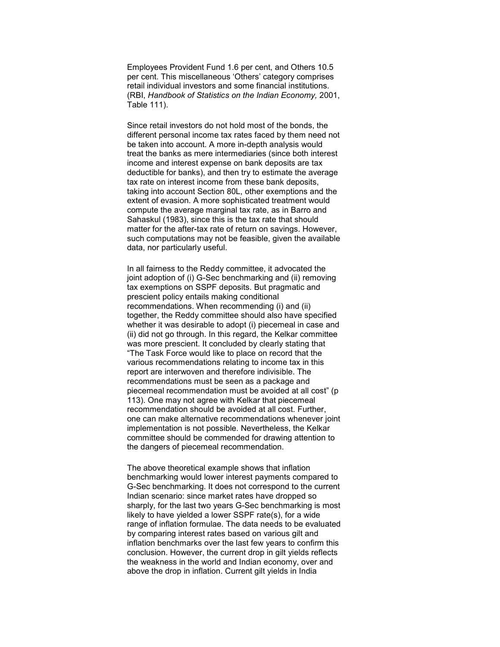Employees Provident Fund 1.6 per cent, and Others 10.5 per cent. This miscellaneous 'Others' category comprises retail individual investors and some financial institutions. (RBI, Handbook of Statistics on the Indian Economy, 2001, Table 111).

Since retail investors do not hold most of the bonds, the different personal income tax rates faced by them need not be taken into account. A more in-depth analysis would treat the banks as mere intermediaries (since both interest income and interest expense on bank deposits are tax deductible for banks), and then try to estimate the average tax rate on interest income from these bank deposits, taking into account Section 80L, other exemptions and the extent of evasion. A more sophisticated treatment would compute the average marginal tax rate, as in Barro and Sahaskul (1983), since this is the tax rate that should matter for the after-tax rate of return on savings. However, such computations may not be feasible, given the available data, nor particularly useful.

In all fairness to the Reddy committee, it advocated the joint adoption of (i) G-Sec benchmarking and (ii) removing tax exemptions on SSPF deposits. But pragmatic and prescient policy entails making conditional recommendations. When recommending (i) and (ii) together, the Reddy committee should also have specified whether it was desirable to adopt (i) piecemeal in case and (ii) did not go through. In this regard, the Kelkar committee was more prescient. It concluded by clearly stating that "The Task Force would like to place on record that the various recommendations relating to income tax in this report are interwoven and therefore indivisible. The recommendations must be seen as a package and piecemeal recommendation must be avoided at all cost" (p 113). One may not agree with Kelkar that piecemeal recommendation should be avoided at all cost. Further, one can make alternative recommendations whenever joint implementation is not possible. Nevertheless, the Kelkar committee should be commended for drawing attention to the dangers of piecemeal recommendation.

The above theoretical example shows that inflation benchmarking would lower interest payments compared to G-Sec benchmarking. It does not correspond to the current Indian scenario: since market rates have dropped so sharply, for the last two years G-Sec benchmarking is most likely to have yielded a lower SSPF rate(s), for a wide range of inflation formulae. The data needs to be evaluated by comparing interest rates based on various gilt and inflation benchmarks over the last few years to confirm this conclusion. However, the current drop in gilt yields reflects the weakness in the world and Indian economy, over and above the drop in inflation. Current gilt yields in India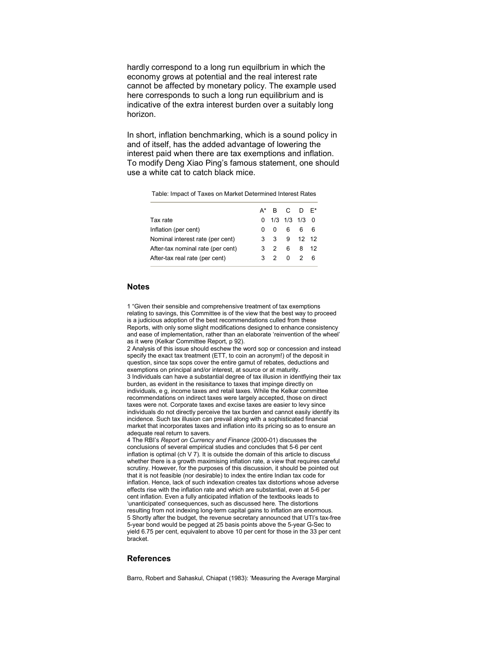hardly correspond to a long run equilbrium in which the economy grows at potential and the real interest rate cannot be affected by monetary policy. The example used here corresponds to such a long run equilibrium and is indicative of the extra interest burden over a suitably long horizon.

In short, inflation benchmarking, which is a sound policy in and of itself, has the added advantage of lowering the interest paid when there are tax exemptions and inflation. To modify Deng Xiao Ping's famous statement, one should use a white cat to catch black mice.

Table: Impact of Taxes on Market Determined Interest Rates

|                                   |  | $A^*$ B C D $E^*$ |    |  |
|-----------------------------------|--|-------------------|----|--|
| Tax rate                          |  | $0$ 1/3 1/3 1/3 0 |    |  |
| Inflation (per cent)              |  | 006               | 66 |  |
| Nominal interest rate (per cent)  |  | 3 3 9 12 12       |    |  |
| After-tax nominal rate (per cent) |  | 3 2 6 8 12        |    |  |
| After-tax real rate (per cent)    |  | 3 2 0 2 6         |    |  |
|                                   |  |                   |    |  |

## Notes

1 "Given their sensible and comprehensive treatment of tax exemptions relating to savings, this Committee is of the view that the best way to proceed is a judicious adoption of the best recommendations culled from these Reports, with only some slight modifications designed to enhance consistency and ease of implementation, rather than an elaborate 'reinvention of the wheel' as it were (Kelkar Committee Report, p 92).

2 Analysis of this issue should eschew the word sop or concession and instead specify the exact tax treatment (ETT, to coin an acronym!) of the deposit in question, since tax sops cover the entire gamut of rebates, deductions and exemptions on principal and/or interest, at source or at maturity. 3 Individuals can have a substantial degree of tax illusion in identfiying their tax burden, as evident in the resisitance to taxes that impinge directly on individuals, e g, income taxes and retail taxes. While the Kelkar committee recommendations on indirect taxes were largely accepted, those on direct taxes were not. Corporate taxes and excise taxes are easier to levy since individuals do not directly perceive the tax burden and cannot easily identify its incidence. Such tax illusion can prevail along with a sophisticated financial market that incorporates taxes and inflation into its pricing so as to ensure an adequate real return to savers.

4 The RBI's Report on Currency and Finance (2000-01) discusses the conclusions of several empirical studies and concludes that 5-6 per cent inflation is optimal (ch V 7). It is outside the domain of this article to discuss whether there is a growth maximising inflation rate, a view that requires careful scrutiny. However, for the purposes of this discussion, it should be pointed out that it is not feasible (nor desirable) to index the entire Indian tax code for inflation. Hence, lack of such indexation creates tax distortions whose adverse effects rise with the inflation rate and which are substantial, even at 5-6 per cent inflation. Even a fully anticipated inflation of the textbooks leads to 'unanticipated' consequences, such as discussed here. The distortions resulting from not indexing long-term capital gains to inflation are enormous. 5 Shortly after the budget, the revenue secretary announced that UTI's tax-free 5-year bond would be pegged at 25 basis points above the 5-year G-Sec to yield 6.75 per cent, equivalent to above 10 per cent for those in the 33 per cent bracket.

## References

Barro, Robert and Sahaskul, Chiapat (1983): 'Measuring the Average Marginal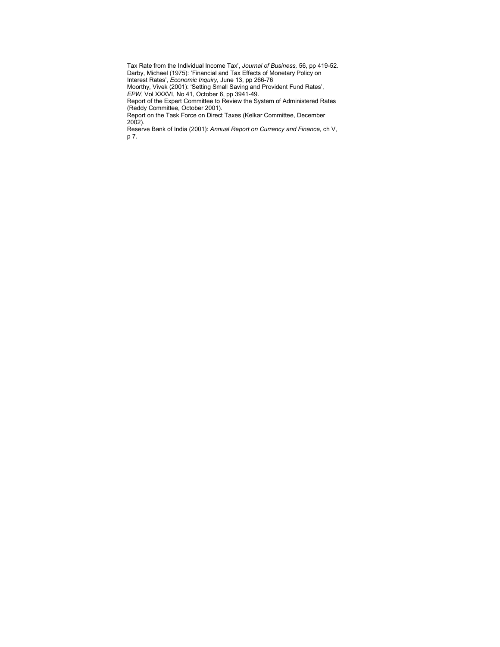Tax Rate from the Individual Income Tax', Journal of Business, 56, pp 419-52. Darby, Michael (1975): 'Financial and Tax Effects of Monetary Policy on Interest Rates', Economic Inquiry, June 13, pp 266-76 Moorthy, Vivek (2001): 'Setting Small Saving and Provident Fund Rates', EPW, Vol XXXVI, No 41, October 6, pp 3941-49. Report of the Expert Committee to Review the System of Administered Rates (Reddy Committee, October 2001). Report on the Task Force on Direct Taxes (Kelkar Committee, December 2002).

Reserve Bank of India (2001): Annual Report on Currency and Finance, ch V, p 7.